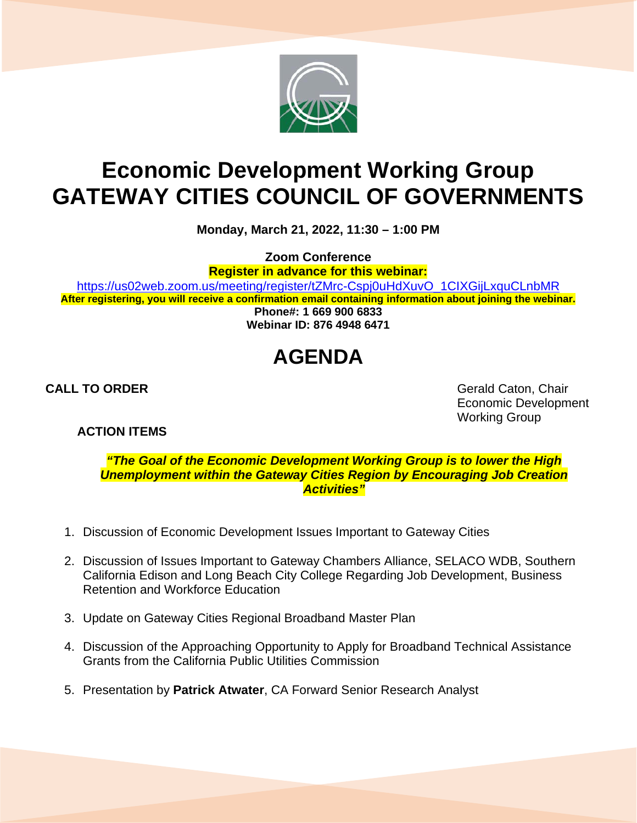

# **Economic Development Working Group GATEWAY CITIES COUNCIL OF GOVERNMENTS**

**Monday, March 21, 2022, 11:30 – 1:00 PM**

**Zoom Conference**

**Register in advance for this webinar:**

[https://us02web.zoom.us/meeting/register/tZMrc-Cspj0uHdXuvO\\_1CIXGijLxquCLnbMR](https://us02web.zoom.us/meeting/register/tZMrc-Cspj0uHdXuvO_1CIXGijLxquCLnbMR) **After registering, you will receive a confirmation email containing information about joining the webinar. Phone#: 1 669 900 6833**

**Webinar ID: 876 4948 6471**

# **AGENDA**

**ACTION ITEMS**

**CALL TO ORDER** Gerald Caton, Chair Economic Development Working Group

*"The Goal of the Economic Development Working Group is to lower the High Unemployment within the Gateway Cities Region by Encouraging Job Creation Activities"*

- 1. Discussion of Economic Development Issues Important to Gateway Cities
- 2. Discussion of Issues Important to Gateway Chambers Alliance, SELACO WDB, Southern California Edison and Long Beach City College Regarding Job Development, Business Retention and Workforce Education
- 3. Update on Gateway Cities Regional Broadband Master Plan
- 4. Discussion of the Approaching Opportunity to Apply for Broadband Technical Assistance Grants from the California Public Utilities Commission
- 5. Presentation by **Patrick Atwater**, CA Forward Senior Research Analyst